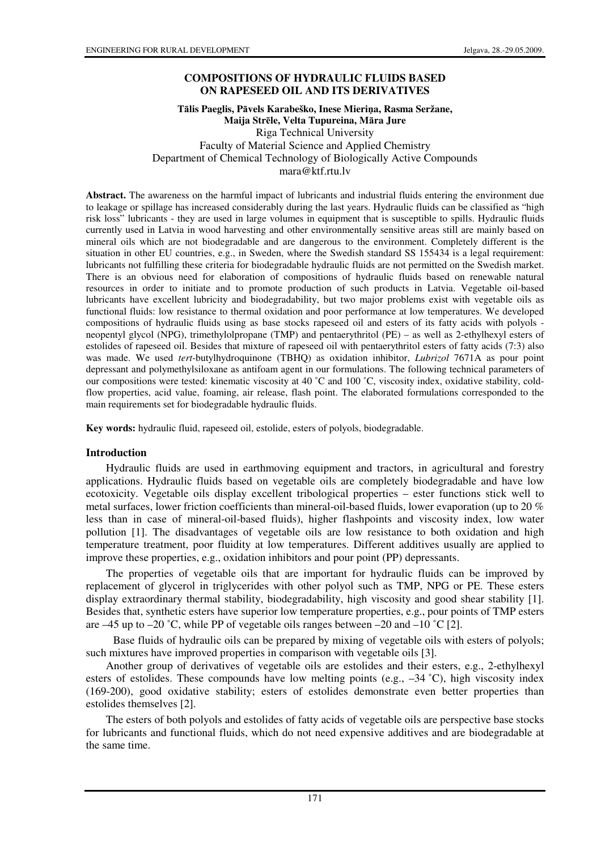### **COMPOSITIONS OF HYDRAULIC FLUIDS BASED ON RAPESEED OIL AND ITS DERIVATIVES**

#### **T**ā**lis Paeglis, P**ā**vels Karabeško, Inese Mieri**ņ**a, Rasma Seržane, Maija Str**ē**le, Velta Tupureina, M**ā**ra Jure**  Riga Technical University Faculty of Material Science and Applied Chemistry Department of Chemical Technology of Biologically Active Compounds mara@ktf.rtu.lv

**Abstract.** The awareness on the harmful impact of lubricants and industrial fluids entering the environment due to leakage or spillage has increased considerably during the last years. Hydraulic fluids can be classified as "high risk loss" lubricants - they are used in large volumes in equipment that is susceptible to spills. Hydraulic fluids currently used in Latvia in wood harvesting and other environmentally sensitive areas still are mainly based on mineral oils which are not biodegradable and are dangerous to the environment. Completely different is the situation in other EU countries, e.g., in Sweden, where the Swedish standard SS 155434 is a legal requirement: lubricants not fulfilling these criteria for biodegradable hydraulic fluids are not permitted on the Swedish market. There is an obvious need for elaboration of compositions of hydraulic fluids based on renewable natural resources in order to initiate and to promote production of such products in Latvia. Vegetable oil-based lubricants have excellent lubricity and biodegradability, but two major problems exist with vegetable oils as functional fluids: low resistance to thermal oxidation and poor performance at low temperatures. We developed compositions of hydraulic fluids using as base stocks rapeseed oil and esters of its fatty acids with polyols neopentyl glycol (NPG), trimethylolpropane (TMP) and pentaerythritol (PE) – as well as 2-ethylhexyl esters of estolides of rapeseed oil. Besides that mixture of rapeseed oil with pentaerythritol esters of fatty acids (7:3) also was made. We used *tert*-butylhydroquinone (TBHQ) as oxidation inhibitor, *Lubrizol* 7671A as pour point depressant and polymethylsiloxane as antifoam agent in our formulations. The following technical parameters of our compositions were tested: kinematic viscosity at 40 ˚C and 100 ˚C, viscosity index, oxidative stability, coldflow properties, acid value, foaming, air release, flash point. The elaborated formulations corresponded to the main requirements set for biodegradable hydraulic fluids.

**Key words:** hydraulic fluid, rapeseed oil, estolide, esters of polyols, biodegradable.

#### **Introduction**

Hydraulic fluids are used in earthmoving equipment and tractors, in agricultural and forestry applications. Hydraulic fluids based on vegetable oils are completely biodegradable and have low ecotoxicity. Vegetable oils display excellent tribological properties – ester functions stick well to metal surfaces, lower friction coefficients than mineral-oil-based fluids, lower evaporation (up to 20  $\%$ less than in case of mineral-oil-based fluids), higher flashpoints and viscosity index, low water pollution [1]. The disadvantages of vegetable oils are low resistance to both oxidation and high temperature treatment, poor fluidity at low temperatures. Different additives usually are applied to improve these properties, e.g., oxidation inhibitors and pour point (PP) depressants.

The properties of vegetable oils that are important for hydraulic fluids can be improved by replacement of glycerol in triglycerides with other polyol such as TMP, NPG or PE. These esters display extraordinary thermal stability, biodegradability, high viscosity and good shear stability [1]. Besides that, synthetic esters have superior low temperature properties, e.g., pour points of TMP esters are  $-45$  up to  $-20$  °C, while PP of vegetable oils ranges between  $-20$  and  $-10$  °C [2].

Base fluids of hydraulic oils can be prepared by mixing of vegetable oils with esters of polyols; such mixtures have improved properties in comparison with vegetable oils [3].

Another group of derivatives of vegetable oils are estolides and their esters, e.g., 2-ethylhexyl esters of estolides. These compounds have low melting points (e.g., -34 °C), high viscosity index (169-200), good oxidative stability; esters of estolides demonstrate even better properties than estolides themselves [2].

The esters of both polyols and estolides of fatty acids of vegetable oils are perspective base stocks for lubricants and functional fluids, which do not need expensive additives and are biodegradable at the same time.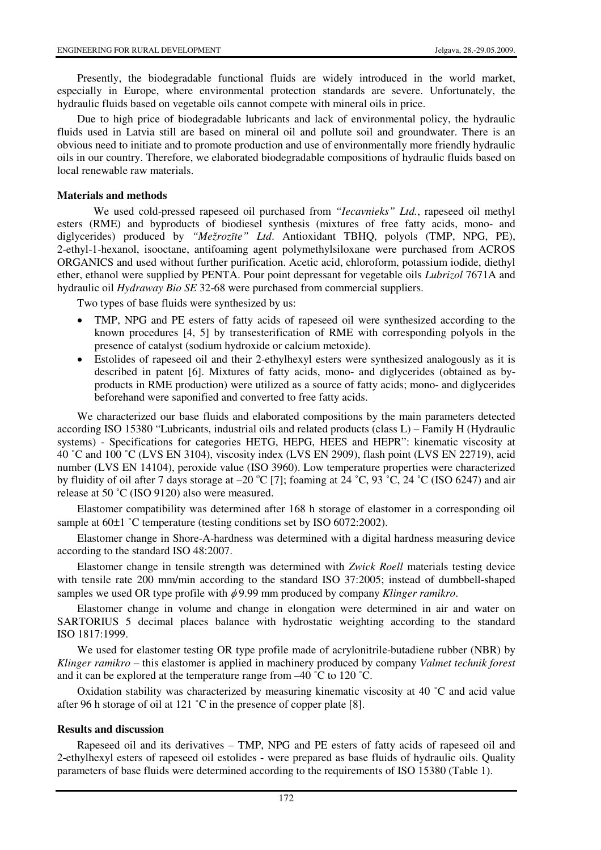Presently, the biodegradable functional fluids are widely introduced in the world market, especially in Europe, where environmental protection standards are severe. Unfortunately, the hydraulic fluids based on vegetable oils cannot compete with mineral oils in price.

Due to high price of biodegradable lubricants and lack of environmental policy, the hydraulic fluids used in Latvia still are based on mineral oil and pollute soil and groundwater. There is an obvious need to initiate and to promote production and use of environmentally more friendly hydraulic oils in our country. Therefore, we elaborated biodegradable compositions of hydraulic fluids based on local renewable raw materials.

### **Materials and methods**

We used cold-pressed rapeseed oil purchased from *"Iecavnieks" Ltd.*, rapeseed oil methyl esters (RME) and byproducts of biodiesel synthesis (mixtures of free fatty acids, mono- and diglycerides) produced by *"Mežroz*ī*te" Ltd*. Antioxidant TBHQ, polyols (TMP, NPG, PE), 2-ethyl-1-hexanol, isooctane, antifoaming agent polymethylsiloxane were purchased from ACROS ORGANICS and used without further purification. Acetic acid, chloroform, potassium iodide, diethyl ether, ethanol were supplied by PENTA. Pour point depressant for vegetable oils *Lubrizol* 7671A and hydraulic oil *Hydraway Bio SE* 32-68 were purchased from commercial suppliers.

Two types of base fluids were synthesized by us:

- TMP, NPG and PE esters of fatty acids of rapeseed oil were synthesized according to the known procedures [4, 5] by transesterification of RME with corresponding polyols in the presence of catalyst (sodium hydroxide or calcium metoxide).
- Estolides of rapeseed oil and their 2-ethylhexyl esters were synthesized analogously as it is described in patent [6]. Mixtures of fatty acids, mono- and diglycerides (obtained as byproducts in RME production) were utilized as a source of fatty acids; mono- and diglycerides beforehand were saponified and converted to free fatty acids.

We characterized our base fluids and elaborated compositions by the main parameters detected according ISO 15380 "Lubricants, industrial oils and related products (class L) – Family H (Hydraulic systems) - Specifications for categories HETG, HEPG, HEES and HEPR": kinematic viscosity at 40 ˚C and 100 ˚C (LVS EN 3104), viscosity index (LVS EN 2909), flash point (LVS EN 22719), acid number (LVS EN 14104), peroxide value (ISO 3960). Low temperature properties were characterized by fluidity of oil after 7 days storage at  $-20$  °C [7]; foaming at 24 °C, 93 °C, 24 °C (ISO 6247) and air release at 50 ˚C (ISO 9120) also were measured.

Elastomer compatibility was determined after 168 h storage of elastomer in a corresponding oil sample at  $60\pm1$  °C temperature (testing conditions set by ISO 6072:2002).

Elastomer change in Shore-A-hardness was determined with a digital hardness measuring device according to the standard ISO 48:2007.

Elastomer change in tensile strength was determined with *Zwick Roell* materials testing device with tensile rate 200 mm/min according to the standard ISO 37:2005; instead of dumbbell-shaped samples we used OR type profile with φ 9.99 mm produced by company *Klinger ramikro*.

Elastomer change in volume and change in elongation were determined in air and water on SARTORIUS 5 decimal places balance with hydrostatic weighting according to the standard ISO 1817:1999.

We used for elastomer testing OR type profile made of acrylonitrile-butadiene rubber (NBR) by *Klinger ramikro* – this elastomer is applied in machinery produced by company *Valmet technik forest* and it can be explored at the temperature range from –40 ˚C to 120 ˚C.

Oxidation stability was characterized by measuring kinematic viscosity at 40 ˚C and acid value after 96 h storage of oil at 121 ˚C in the presence of copper plate [8].

#### **Results and discussion**

Rapeseed oil and its derivatives – TMP, NPG and PE esters of fatty acids of rapeseed oil and 2-ethylhexyl esters of rapeseed oil estolides - were prepared as base fluids of hydraulic oils. Quality parameters of base fluids were determined according to the requirements of ISO 15380 (Table 1).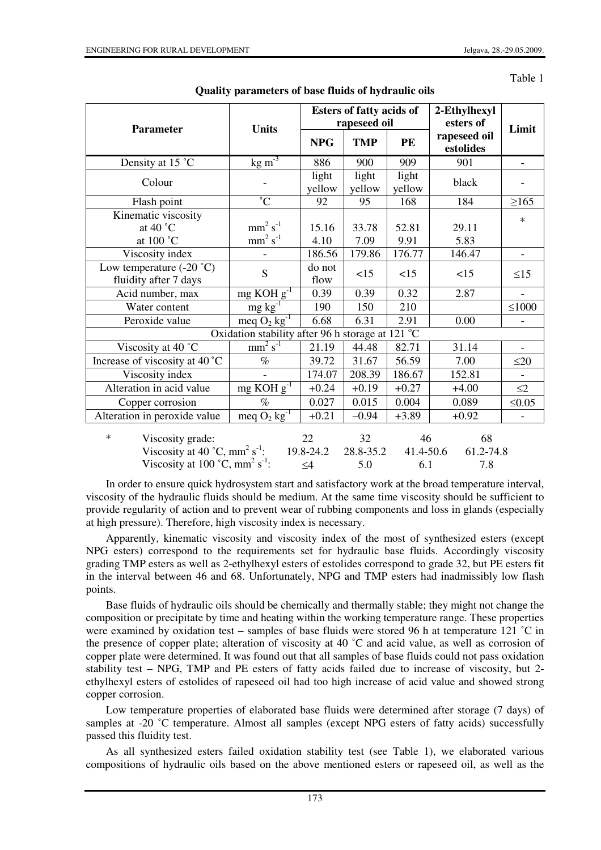Table 1

|                                                                                                                                                                   |                                                                             |                             | <b>Esters of fatty acids of</b><br>rapeseed oil |                        | 2-Ethylhexyl<br>esters of |                          |  |
|-------------------------------------------------------------------------------------------------------------------------------------------------------------------|-----------------------------------------------------------------------------|-----------------------------|-------------------------------------------------|------------------------|---------------------------|--------------------------|--|
| <b>Parameter</b>                                                                                                                                                  | <b>Units</b><br>rapeseed oil<br><b>TMP</b><br><b>NPG</b><br>PE<br>estolides |                             | Limit                                           |                        |                           |                          |  |
| Density at 15 °C                                                                                                                                                  | $\frac{\text{kg}}{\text{m}^3}$                                              | 886                         | 900                                             | 909                    | 901                       | $\overline{\phantom{0}}$ |  |
| Colour                                                                                                                                                            |                                                                             | light<br>yellow             | light<br>yellow                                 | light<br>yellow        | black                     |                          |  |
| Flash point                                                                                                                                                       | $\overline{C}$                                                              | 92                          | 95                                              | 168                    | 184                       | $\geq 165$               |  |
| Kinematic viscosity<br>at 40 $^{\circ}$ C<br>at 100 °C                                                                                                            | $mm2 s-1$<br>$mm2 s-1$                                                      | 15.16<br>4.10               | 33.78<br>7.09                                   | 52.81<br>9.91          | 29.11<br>5.83             | $\ast$                   |  |
| Viscosity index                                                                                                                                                   | $\overline{a}$                                                              | 186.56                      | 179.86                                          | 176.77                 | 146.47                    | $\blacksquare$           |  |
| Low temperature $(-20 \degree C)$<br>fluidity after 7 days                                                                                                        | S                                                                           | do not<br>flow              | <15                                             | <15                    | <15                       | $\leq15$                 |  |
| Acid number, max                                                                                                                                                  | $mg KOHg-1$                                                                 | 0.39                        | 0.39                                            | 0.32                   | 2.87                      |                          |  |
| Water content                                                                                                                                                     | $mg \, kg^{-1}$                                                             | 190                         | 150                                             | 210                    |                           | $\leq$ 1000              |  |
| Peroxide value                                                                                                                                                    | meq $O_2$ kg <sup>-1</sup>                                                  | 6.68                        | 6.31                                            | 2.91                   | 0.00                      |                          |  |
|                                                                                                                                                                   | Oxidation stability after 96 h storage at 121 °C                            |                             |                                                 |                        |                           |                          |  |
| Viscosity at 40 °C                                                                                                                                                | $mm2 s-1$                                                                   | 21.19                       | 44.48                                           | 82.71                  | 31.14                     | $\overline{\phantom{0}}$ |  |
| Increase of viscosity at 40 °C                                                                                                                                    | $\%$                                                                        | 39.72                       | 31.67                                           | 56.59                  | 7.00                      | $\leq 20$                |  |
| Viscosity index                                                                                                                                                   |                                                                             | 174.07                      | 208.39                                          | 186.67                 | 152.81                    | $\overline{\phantom{a}}$ |  |
| Alteration in acid value                                                                                                                                          | $mg$ KOH $g^{-1}$                                                           | $+0.24$                     | $+0.19$                                         | $+0.27$                | $+4.00$                   | $\leq$ 2                 |  |
| Copper corrosion                                                                                                                                                  | $\%$                                                                        | 0.027                       | 0.015                                           | 0.004                  | 0.089                     | $\leq 0.05$              |  |
| Alteration in peroxide value                                                                                                                                      | meq $O_2$ kg <sup>-1</sup>                                                  | $+0.21$                     | $-0.94$                                         | $+3.89$                | $+0.92$                   | $\overline{\phantom{0}}$ |  |
| $\ast$<br>Viscosity grade:<br>Viscosity at 40 $^{\circ}$ C, mm <sup>2</sup> s <sup>-1</sup> :<br>Viscosity at 100 $^{\circ}$ C, mm <sup>2</sup> s <sup>-1</sup> : |                                                                             | 22<br>19.8-24.2<br>$\leq 4$ | 32<br>28.8-35.2<br>5.0                          | 46<br>41.4-50.6<br>6.1 | 68<br>61.2-74.8<br>7.8    |                          |  |

In order to ensure quick hydrosystem start and satisfactory work at the broad temperature interval, viscosity of the hydraulic fluids should be medium. At the same time viscosity should be sufficient to provide regularity of action and to prevent wear of rubbing components and loss in glands (especially at high pressure). Therefore, high viscosity index is necessary.

Apparently, kinematic viscosity and viscosity index of the most of synthesized esters (except NPG esters) correspond to the requirements set for hydraulic base fluids. Accordingly viscosity grading TMP esters as well as 2-ethylhexyl esters of estolides correspond to grade 32, but PE esters fit in the interval between 46 and 68. Unfortunately, NPG and TMP esters had inadmissibly low flash points.

Base fluids of hydraulic oils should be chemically and thermally stable; they might not change the composition or precipitate by time and heating within the working temperature range. These properties were examined by oxidation test – samples of base fluids were stored 96 h at temperature 121 °C in the presence of copper plate; alteration of viscosity at 40  $^{\circ}$ C and acid value, as well as corrosion of copper plate were determined. It was found out that all samples of base fluids could not pass oxidation stability test – NPG, TMP and PE esters of fatty acids failed due to increase of viscosity, but 2 ethylhexyl esters of estolides of rapeseed oil had too high increase of acid value and showed strong copper corrosion.

Low temperature properties of elaborated base fluids were determined after storage (7 days) of samples at -20 °C temperature. Almost all samples (except NPG esters of fatty acids) successfully passed this fluidity test.

As all synthesized esters failed oxidation stability test (see Table 1), we elaborated various compositions of hydraulic oils based on the above mentioned esters or rapeseed oil, as well as the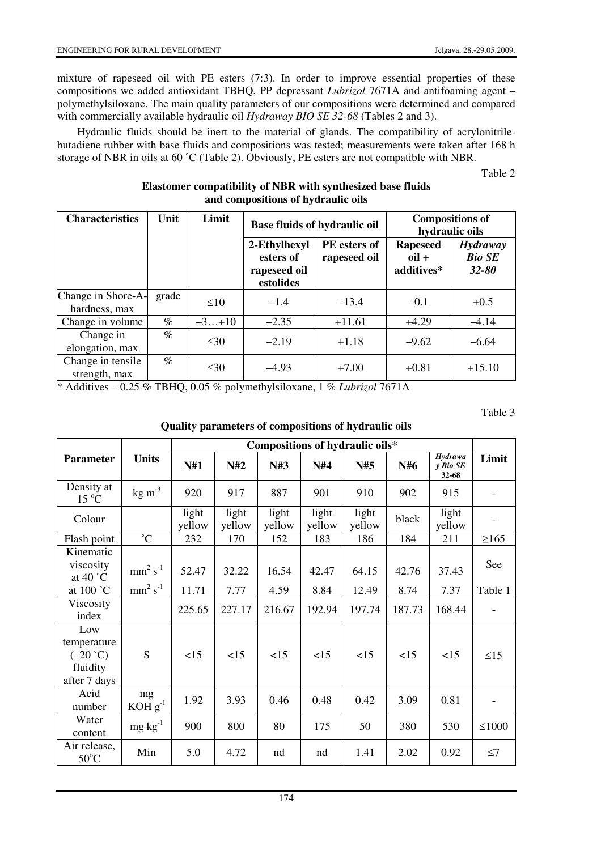mixture of rapeseed oil with PE esters (7:3). In order to improve essential properties of these compositions we added antioxidant TBHQ, PP depressant *Lubrizol* 7671A and antifoaming agent – polymethylsiloxane. The main quality parameters of our compositions were determined and compared with commercially available hydraulic oil *Hydraway BIO SE 32-68* (Tables 2 and 3).

Hydraulic fluids should be inert to the material of glands. The compatibility of acrylonitrilebutadiene rubber with base fluids and compositions was tested; measurements were taken after 168 h storage of NBR in oils at 60 ˚C (Table 2). Obviously, PE esters are not compatible with NBR.

Table 2

# **Elastomer compatibility of NBR with synthesized base fluids and compositions of hydraulic oils**

| <b>Characteristics</b>              | Unit  | Limit     |                                                        | <b>Base fluids of hydraulic oil</b> | <b>Compositions of</b><br>hydraulic oils             |                                               |  |
|-------------------------------------|-------|-----------|--------------------------------------------------------|-------------------------------------|------------------------------------------------------|-----------------------------------------------|--|
|                                     |       |           | 2-Ethylhexyl<br>esters of<br>rapeseed oil<br>estolides | <b>PE</b> esters of<br>rapeseed oil | <b>Rapeseed</b><br>$\overline{0}$ il +<br>additives* | <b>Hydraway</b><br><b>Bio SE</b><br>$32 - 80$ |  |
| Change in Shore-A-<br>hardness, max | grade | $\leq 10$ | $-1.4$                                                 | $-13.4$                             | $-0.1$                                               | $+0.5$                                        |  |
| Change in volume                    | $\%$  | $-3+10$   | $-2.35$                                                | $+11.61$                            | $+4.29$                                              | $-4.14$                                       |  |
| Change in<br>elongation, max        | $\%$  | $\leq 30$ | $-2.19$                                                | $+1.18$                             | $-9.62$                                              | $-6.64$                                       |  |
| Change in tensile<br>strength, max  | $\%$  | $\leq 30$ | $-4.93$                                                | $+7.00$                             | $+0.81$                                              | $+15.10$                                      |  |

\* Additives – 0.25 % TBHQ, 0.05 % polymethylsiloxane, 1 % *Lubrizol* 7671A

Table 3

## **Quality parameters of compositions of hydraulic oils**

|                                                              |                    | Compositions of hydraulic oils* |                 |                 |                 |                 |        |                                     |             |
|--------------------------------------------------------------|--------------------|---------------------------------|-----------------|-----------------|-----------------|-----------------|--------|-------------------------------------|-------------|
| <b>Parameter</b>                                             | <b>Units</b>       | N#1                             | N#2             | N#3             | N#4             | N#5             | N#6    | <b>Hydrawa</b><br>y Bio SE<br>32-68 | Limit       |
| Density at<br>$15^{\circ}$ C                                 | $\text{kg m}^{-3}$ | 920                             | 917             | 887             | 901             | 910             | 902    | 915                                 |             |
| Colour                                                       |                    | light<br>yellow                 | light<br>yellow | light<br>yellow | light<br>yellow | light<br>yellow | black  | light<br>yellow                     |             |
| Flash point                                                  | $^{\circ}C$        | 232                             | 170             | 152             | 183             | 186             | 184    | 211                                 | $\geq 165$  |
| Kinematic<br>viscosity<br>at 40 $^{\circ}$ C                 | $mm2 s-1$          | 52.47                           | 32.22           | 16.54           | 42.47           | 64.15           | 42.76  | 37.43                               | See         |
| at 100 °C                                                    | $mm2 s-1$          | 11.71                           | 7.77            | 4.59            | 8.84            | 12.49           | 8.74   | 7.37                                | Table 1     |
| Viscosity<br>index                                           |                    | 225.65                          | 227.17          | 216.67          | 192.94          | 197.74          | 187.73 | 168.44                              |             |
| Low<br>temperature<br>$(-20 °C)$<br>fluidity<br>after 7 days | S                  | <15                             | <15             | <15             | <15             | <15             | <15    | <15                                 | $\leq$ 15   |
| Acid<br>number                                               | mg<br>$KOH g^{-1}$ | 1.92                            | 3.93            | 0.46            | 0.48            | 0.42            | 3.09   | 0.81                                |             |
| Water<br>content                                             | $mg \, kg^{-1}$    | 900                             | 800             | 80              | 175             | 50              | 380    | 530                                 | $\leq 1000$ |
| Air release,<br>$50^{\circ}$ C                               | Min                | 5.0                             | 4.72            | nd              | nd              | 1.41            | 2.02   | 0.92                                | $\leq$ 7    |